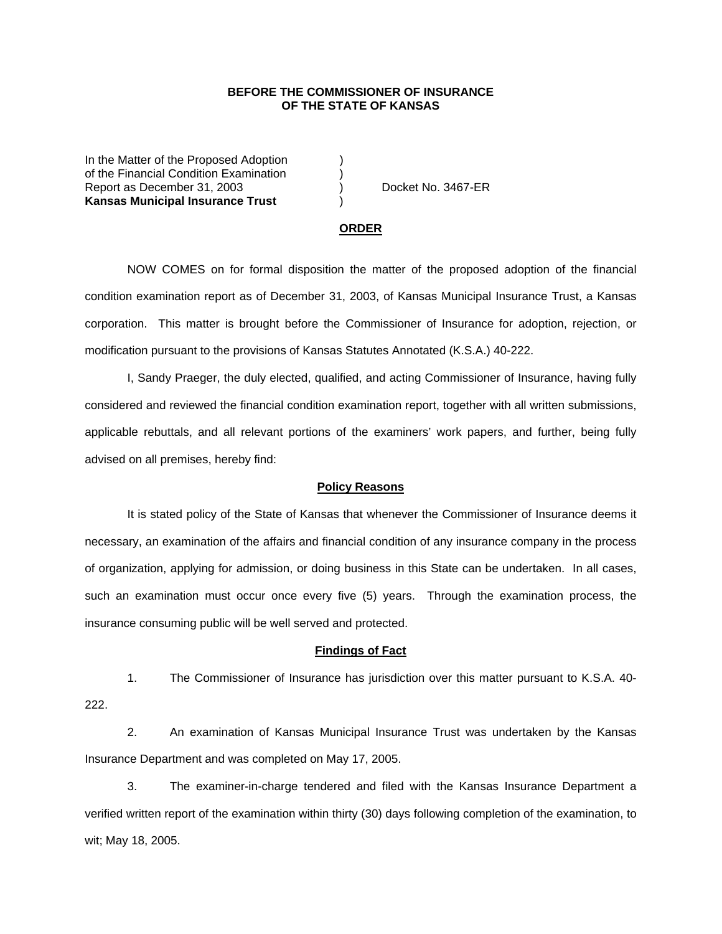## **BEFORE THE COMMISSIONER OF INSURANCE OF THE STATE OF KANSAS**

In the Matter of the Proposed Adoption of the Financial Condition Examination ) Report as December 31, 2003 (and Contact Contact No. 3467-ER **Kansas Municipal Insurance Trust** )

#### **ORDER**

 NOW COMES on for formal disposition the matter of the proposed adoption of the financial condition examination report as of December 31, 2003, of Kansas Municipal Insurance Trust, a Kansas corporation. This matter is brought before the Commissioner of Insurance for adoption, rejection, or modification pursuant to the provisions of Kansas Statutes Annotated (K.S.A.) 40-222.

 I, Sandy Praeger, the duly elected, qualified, and acting Commissioner of Insurance, having fully considered and reviewed the financial condition examination report, together with all written submissions, applicable rebuttals, and all relevant portions of the examiners' work papers, and further, being fully advised on all premises, hereby find:

### **Policy Reasons**

 It is stated policy of the State of Kansas that whenever the Commissioner of Insurance deems it necessary, an examination of the affairs and financial condition of any insurance company in the process of organization, applying for admission, or doing business in this State can be undertaken. In all cases, such an examination must occur once every five (5) years. Through the examination process, the insurance consuming public will be well served and protected.

#### **Findings of Fact**

 1. The Commissioner of Insurance has jurisdiction over this matter pursuant to K.S.A. 40- 222.

 2. An examination of Kansas Municipal Insurance Trust was undertaken by the Kansas Insurance Department and was completed on May 17, 2005.

 3. The examiner-in-charge tendered and filed with the Kansas Insurance Department a verified written report of the examination within thirty (30) days following completion of the examination, to wit; May 18, 2005.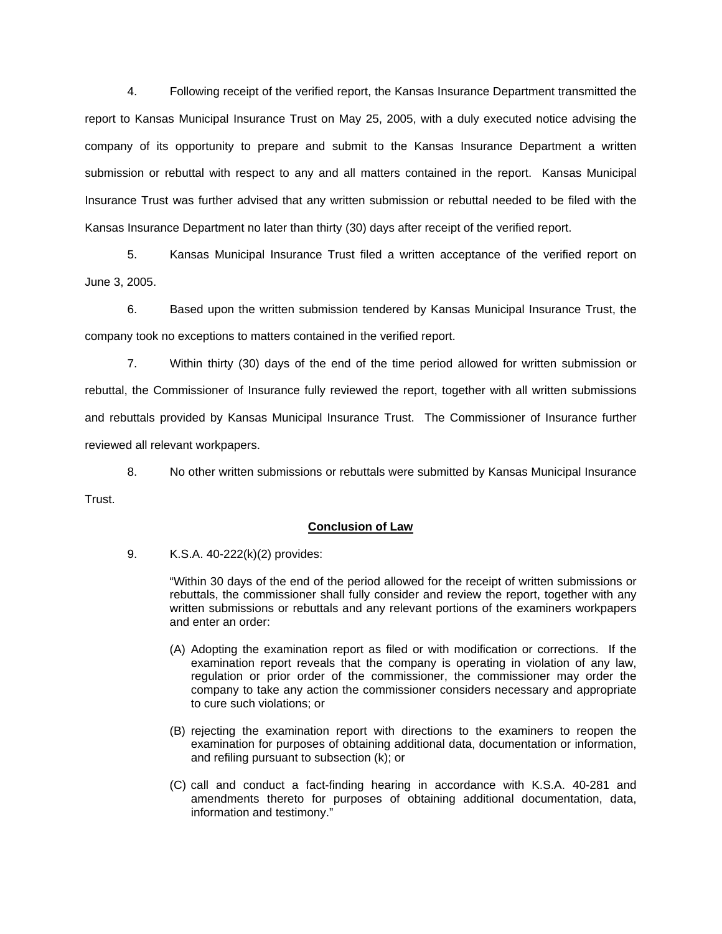4. Following receipt of the verified report, the Kansas Insurance Department transmitted the report to Kansas Municipal Insurance Trust on May 25, 2005, with a duly executed notice advising the company of its opportunity to prepare and submit to the Kansas Insurance Department a written submission or rebuttal with respect to any and all matters contained in the report. Kansas Municipal Insurance Trust was further advised that any written submission or rebuttal needed to be filed with the Kansas Insurance Department no later than thirty (30) days after receipt of the verified report.

 5. Kansas Municipal Insurance Trust filed a written acceptance of the verified report on June 3, 2005.

 6. Based upon the written submission tendered by Kansas Municipal Insurance Trust, the company took no exceptions to matters contained in the verified report.

 7. Within thirty (30) days of the end of the time period allowed for written submission or rebuttal, the Commissioner of Insurance fully reviewed the report, together with all written submissions and rebuttals provided by Kansas Municipal Insurance Trust. The Commissioner of Insurance further reviewed all relevant workpapers.

 8. No other written submissions or rebuttals were submitted by Kansas Municipal Insurance Trust.

## **Conclusion of Law**

9. K.S.A. 40-222(k)(2) provides:

"Within 30 days of the end of the period allowed for the receipt of written submissions or rebuttals, the commissioner shall fully consider and review the report, together with any written submissions or rebuttals and any relevant portions of the examiners workpapers and enter an order:

- (A) Adopting the examination report as filed or with modification or corrections. If the examination report reveals that the company is operating in violation of any law, regulation or prior order of the commissioner, the commissioner may order the company to take any action the commissioner considers necessary and appropriate to cure such violations; or
- (B) rejecting the examination report with directions to the examiners to reopen the examination for purposes of obtaining additional data, documentation or information, and refiling pursuant to subsection (k); or
- (C) call and conduct a fact-finding hearing in accordance with K.S.A. 40-281 and amendments thereto for purposes of obtaining additional documentation, data, information and testimony."